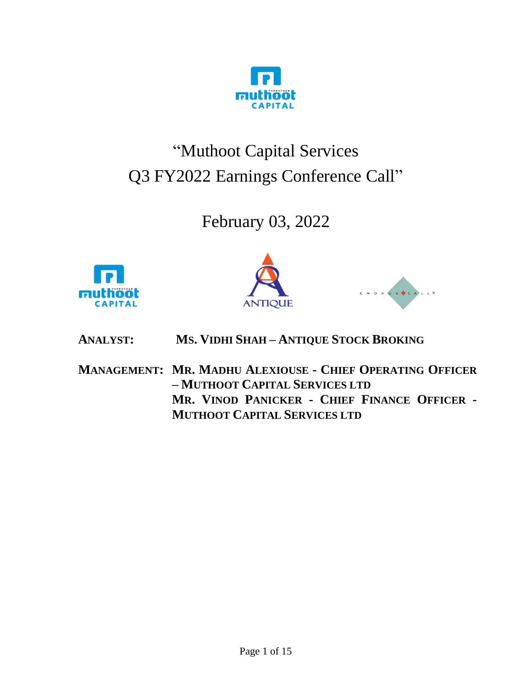

# "Muthoot Capital Services Q3 FY2022 Earnings Conference Call"

# February 03, 2022







**ANALYST: MS. VIDHI SHAH – ANTIQUE STOCK BROKING**

**MANAGEMENT: MR. MADHU ALEXIOUSE - CHIEF OPERATING OFFICER – MUTHOOT CAPITAL SERVICES LTD MR. VINOD PANICKER - CHIEF FINANCE OFFICER - MUTHOOT CAPITAL SERVICES LTD**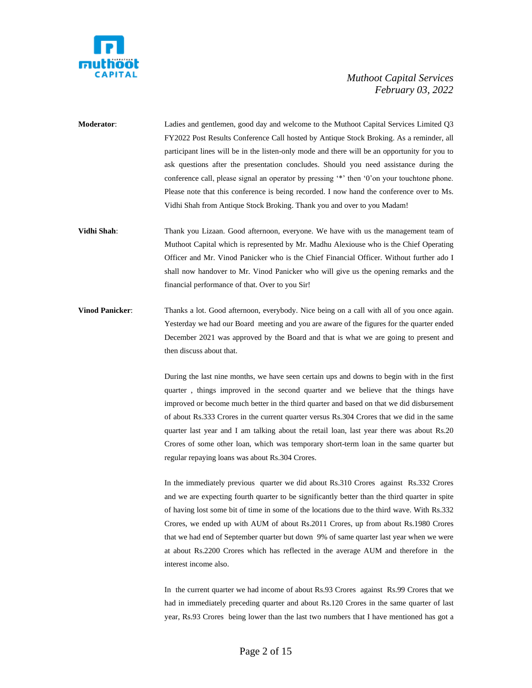

- **Moderator**: Ladies and gentlemen, good day and welcome to the Muthoot Capital Services Limited Q3 FY2022 Post Results Conference Call hosted by Antique Stock Broking. As a reminder, all participant lines will be in the listen-only mode and there will be an opportunity for you to ask questions after the presentation concludes. Should you need assistance during the conference call, please signal an operator by pressing '\*' then '0'on your touchtone phone. Please note that this conference is being recorded. I now hand the conference over to Ms. Vidhi Shah from Antique Stock Broking. Thank you and over to you Madam!
- **Vidhi Shah**: Thank you Lizaan. Good afternoon, everyone. We have with us the management team of Muthoot Capital which is represented by Mr. Madhu Alexiouse who is the Chief Operating Officer and Mr. Vinod Panicker who is the Chief Financial Officer. Without further ado I shall now handover to Mr. Vinod Panicker who will give us the opening remarks and the financial performance of that. Over to you Sir!
- **Vinod Panicker**: Thanks a lot. Good afternoon, everybody. Nice being on a call with all of you once again. Yesterday we had our Board meeting and you are aware of the figures for the quarter ended December 2021 was approved by the Board and that is what we are going to present and then discuss about that.

During the last nine months, we have seen certain ups and downs to begin with in the first quarter , things improved in the second quarter and we believe that the things have improved or become much better in the third quarter and based on that we did disbursement of about Rs.333 Crores in the current quarter versus Rs.304 Crores that we did in the same quarter last year and I am talking about the retail loan, last year there was about Rs.20 Crores of some other loan, which was temporary short-term loan in the same quarter but regular repaying loans was about Rs.304 Crores.

In the immediately previous quarter we did about Rs.310 Crores against Rs.332 Crores and we are expecting fourth quarter to be significantly better than the third quarter in spite of having lost some bit of time in some of the locations due to the third wave. With Rs.332 Crores, we ended up with AUM of about Rs.2011 Crores, up from about Rs.1980 Crores that we had end of September quarter but down 9% of same quarter last year when we were at about Rs.2200 Crores which has reflected in the average AUM and therefore in the interest income also.

In the current quarter we had income of about Rs.93 Crores against Rs.99 Crores that we had in immediately preceding quarter and about Rs.120 Crores in the same quarter of last year, Rs.93 Crores being lower than the last two numbers that I have mentioned has got a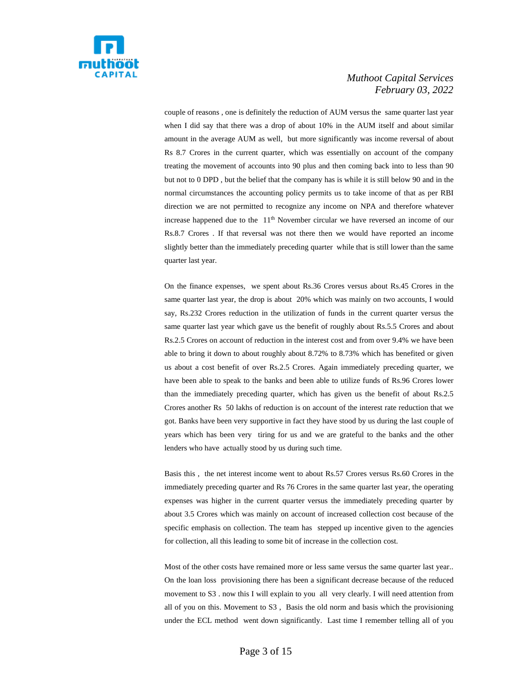

couple of reasons , one is definitely the reduction of AUM versus the same quarter last year when I did say that there was a drop of about 10% in the AUM itself and about similar amount in the average AUM as well, but more significantly was income reversal of about Rs 8.7 Crores in the current quarter, which was essentially on account of the company treating the movement of accounts into 90 plus and then coming back into to less than 90 but not to 0 DPD , but the belief that the company has is while it is still below 90 and in the normal circumstances the accounting policy permits us to take income of that as per RBI direction we are not permitted to recognize any income on NPA and therefore whatever increase happened due to the 11<sup>th</sup> November circular we have reversed an income of our Rs.8.7 Crores . If that reversal was not there then we would have reported an income slightly better than the immediately preceding quarter while that is still lower than the same quarter last year.

On the finance expenses, we spent about Rs.36 Crores versus about Rs.45 Crores in the same quarter last year, the drop is about 20% which was mainly on two accounts, I would say, Rs.232 Crores reduction in the utilization of funds in the current quarter versus the same quarter last year which gave us the benefit of roughly about Rs.5.5 Crores and about Rs.2.5 Crores on account of reduction in the interest cost and from over 9.4% we have been able to bring it down to about roughly about 8.72% to 8.73% which has benefited or given us about a cost benefit of over Rs.2.5 Crores. Again immediately preceding quarter, we have been able to speak to the banks and been able to utilize funds of Rs.96 Crores lower than the immediately preceding quarter, which has given us the benefit of about Rs.2.5 Crores another Rs 50 lakhs of reduction is on account of the interest rate reduction that we got. Banks have been very supportive in fact they have stood by us during the last couple of years which has been very tiring for us and we are grateful to the banks and the other lenders who have actually stood by us during such time.

Basis this , the net interest income went to about Rs.57 Crores versus Rs.60 Crores in the immediately preceding quarter and Rs 76 Crores in the same quarter last year, the operating expenses was higher in the current quarter versus the immediately preceding quarter by about 3.5 Crores which was mainly on account of increased collection cost because of the specific emphasis on collection. The team has stepped up incentive given to the agencies for collection, all this leading to some bit of increase in the collection cost.

Most of the other costs have remained more or less same versus the same quarter last year.. On the loan loss provisioning there has been a significant decrease because of the reduced movement to S3 . now this I will explain to you all very clearly. I will need attention from all of you on this. Movement to S3 , Basis the old norm and basis which the provisioning under the ECL method went down significantly. Last time I remember telling all of you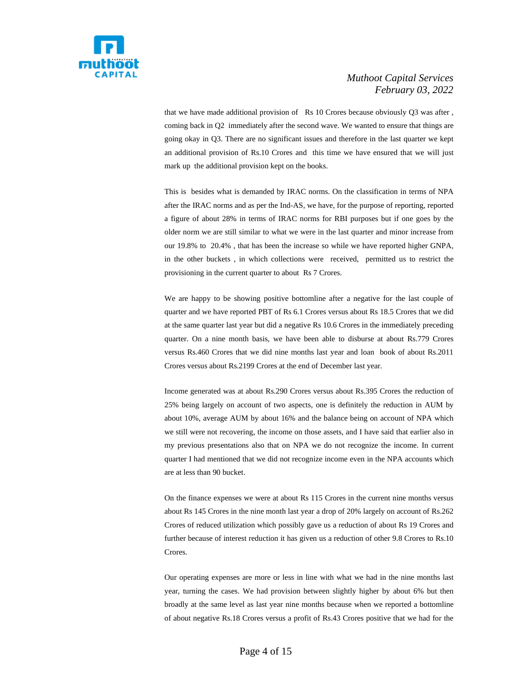

that we have made additional provision of Rs 10 Crores because obviously Q3 was after , coming back in Q2 immediately after the second wave. We wanted to ensure that things are going okay in Q3. There are no significant issues and therefore in the last quarter we kept an additional provision of Rs.10 Crores and this time we have ensured that we will just mark up the additional provision kept on the books.

This is besides what is demanded by IRAC norms. On the classification in terms of NPA after the IRAC norms and as per the Ind-AS, we have, for the purpose of reporting, reported a figure of about 28% in terms of IRAC norms for RBI purposes but if one goes by the older norm we are still similar to what we were in the last quarter and minor increase from our 19.8% to 20.4% , that has been the increase so while we have reported higher GNPA, in the other buckets , in which collections were received, permitted us to restrict the provisioning in the current quarter to about Rs 7 Crores.

We are happy to be showing positive bottomline after a negative for the last couple of quarter and we have reported PBT of Rs 6.1 Crores versus about Rs 18.5 Crores that we did at the same quarter last year but did a negative Rs 10.6 Crores in the immediately preceding quarter. On a nine month basis, we have been able to disburse at about Rs.779 Crores versus Rs.460 Crores that we did nine months last year and loan book of about Rs.2011 Crores versus about Rs.2199 Crores at the end of December last year.

Income generated was at about Rs.290 Crores versus about Rs.395 Crores the reduction of 25% being largely on account of two aspects, one is definitely the reduction in AUM by about 10%, average AUM by about 16% and the balance being on account of NPA which we still were not recovering, the income on those assets, and I have said that earlier also in my previous presentations also that on NPA we do not recognize the income. In current quarter I had mentioned that we did not recognize income even in the NPA accounts which are at less than 90 bucket.

On the finance expenses we were at about Rs 115 Crores in the current nine months versus about Rs 145 Crores in the nine month last year a drop of 20% largely on account of Rs.262 Crores of reduced utilization which possibly gave us a reduction of about Rs 19 Crores and further because of interest reduction it has given us a reduction of other 9.8 Crores to Rs.10 Crores.

Our operating expenses are more or less in line with what we had in the nine months last year, turning the cases. We had provision between slightly higher by about 6% but then broadly at the same level as last year nine months because when we reported a bottomline of about negative Rs.18 Crores versus a profit of Rs.43 Crores positive that we had for the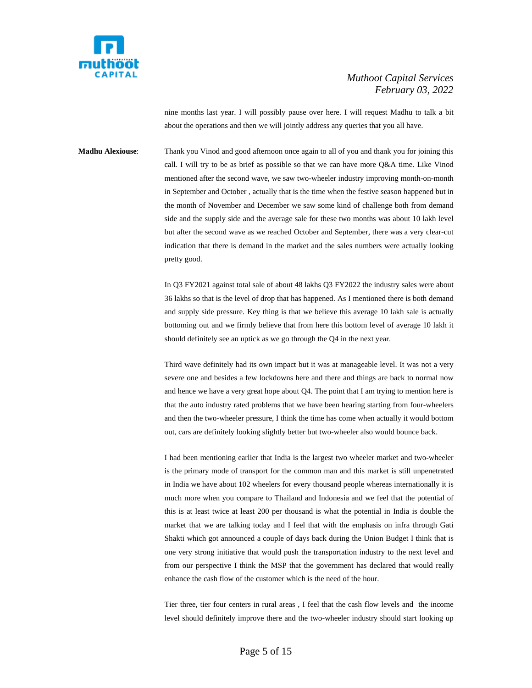

nine months last year. I will possibly pause over here. I will request Madhu to talk a bit about the operations and then we will jointly address any queries that you all have.

**Madhu Alexiouse**: Thank you Vinod and good afternoon once again to all of you and thank you for joining this call. I will try to be as brief as possible so that we can have more Q&A time. Like Vinod mentioned after the second wave, we saw two-wheeler industry improving month-on-month in September and October , actually that is the time when the festive season happened but in the month of November and December we saw some kind of challenge both from demand side and the supply side and the average sale for these two months was about 10 lakh level but after the second wave as we reached October and September, there was a very clear-cut indication that there is demand in the market and the sales numbers were actually looking pretty good.

> In Q3 FY2021 against total sale of about 48 lakhs Q3 FY2022 the industry sales were about 36 lakhs so that is the level of drop that has happened. As I mentioned there is both demand and supply side pressure. Key thing is that we believe this average 10 lakh sale is actually bottoming out and we firmly believe that from here this bottom level of average 10 lakh it should definitely see an uptick as we go through the Q4 in the next year.

> Third wave definitely had its own impact but it was at manageable level. It was not a very severe one and besides a few lockdowns here and there and things are back to normal now and hence we have a very great hope about Q4. The point that I am trying to mention here is that the auto industry rated problems that we have been hearing starting from four-wheelers and then the two-wheeler pressure, I think the time has come when actually it would bottom out, cars are definitely looking slightly better but two-wheeler also would bounce back.

> I had been mentioning earlier that India is the largest two wheeler market and two-wheeler is the primary mode of transport for the common man and this market is still unpenetrated in India we have about 102 wheelers for every thousand people whereas internationally it is much more when you compare to Thailand and Indonesia and we feel that the potential of this is at least twice at least 200 per thousand is what the potential in India is double the market that we are talking today and I feel that with the emphasis on infra through Gati Shakti which got announced a couple of days back during the Union Budget I think that is one very strong initiative that would push the transportation industry to the next level and from our perspective I think the MSP that the government has declared that would really enhance the cash flow of the customer which is the need of the hour.

> Tier three, tier four centers in rural areas , I feel that the cash flow levels and the income level should definitely improve there and the two-wheeler industry should start looking up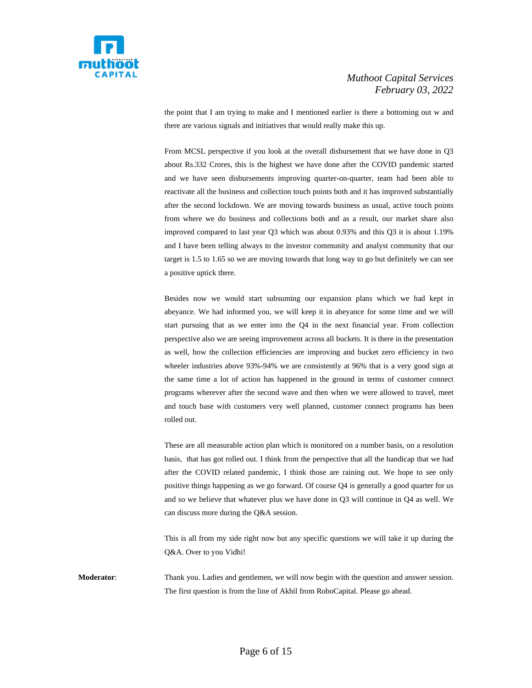

the point that I am trying to make and I mentioned earlier is there a bottoming out w and there are various signals and initiatives that would really make this up.

From MCSL perspective if you look at the overall disbursement that we have done in Q3 about Rs.332 Crores, this is the highest we have done after the COVID pandemic started and we have seen disbursements improving quarter-on-quarter, team had been able to reactivate all the business and collection touch points both and it has improved substantially after the second lockdown. We are moving towards business as usual, active touch points from where we do business and collections both and as a result, our market share also improved compared to last year Q3 which was about 0.93% and this Q3 it is about 1.19% and I have been telling always to the investor community and analyst community that our target is 1.5 to 1.65 so we are moving towards that long way to go but definitely we can see a positive uptick there.

Besides now we would start subsuming our expansion plans which we had kept in abeyance. We had informed you, we will keep it in abeyance for some time and we will start pursuing that as we enter into the Q4 in the next financial year. From collection perspective also we are seeing improvement across all buckets. It is there in the presentation as well, how the collection efficiencies are improving and bucket zero efficiency in two wheeler industries above 93%-94% we are consistently at 96% that is a very good sign at the same time a lot of action has happened in the ground in terms of customer connect programs wherever after the second wave and then when we were allowed to travel, meet and touch base with customers very well planned, customer connect programs has been rolled out.

These are all measurable action plan which is monitored on a number basis, on a resolution basis, that has got rolled out. I think from the perspective that all the handicap that we had after the COVID related pandemic, I think those are raining out. We hope to see only positive things happening as we go forward. Of course Q4 is generally a good quarter for us and so we believe that whatever plus we have done in Q3 will continue in Q4 as well. We can discuss more during the Q&A session.

This is all from my side right now but any specific questions we will take it up during the Q&A. Over to you Vidhi!

**Moderator**: Thank you. Ladies and gentlemen, we will now begin with the question and answer session. The first question is from the line of Akhil from RoboCapital. Please go ahead.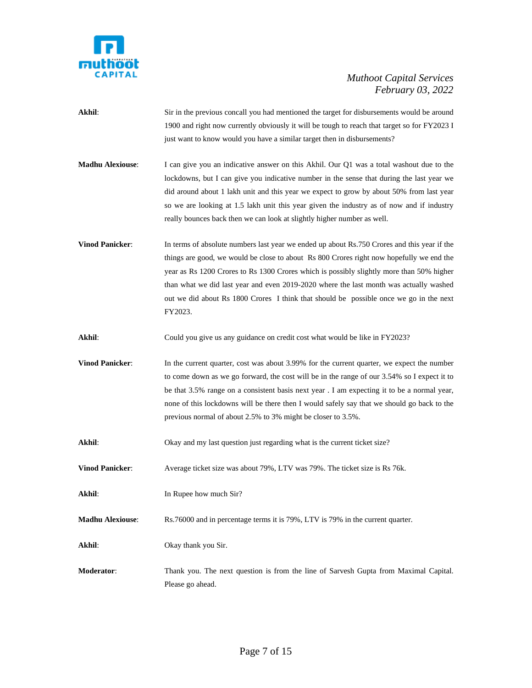

**Akhil**: Sir in the previous concall you had mentioned the target for disbursements would be around 1900 and right now currently obviously it will be tough to reach that target so for FY2023 I just want to know would you have a similar target then in disbursements?

**Madhu Alexiouse**: I can give you an indicative answer on this Akhil. Our Q1 was a total washout due to the lockdowns, but I can give you indicative number in the sense that during the last year we did around about 1 lakh unit and this year we expect to grow by about 50% from last year so we are looking at 1.5 lakh unit this year given the industry as of now and if industry really bounces back then we can look at slightly higher number as well.

**Vinod Panicker:** In terms of absolute numbers last year we ended up about Rs.750 Crores and this year if the things are good, we would be close to about Rs 800 Crores right now hopefully we end the year as Rs 1200 Crores to Rs 1300 Crores which is possibly slightly more than 50% higher than what we did last year and even 2019-2020 where the last month was actually washed out we did about Rs 1800 Crores I think that should be possible once we go in the next FY2023.

Akhil: Could you give us any guidance on credit cost what would be like in FY2023?

**Vinod Panicker:** In the current quarter, cost was about 3.99% for the current quarter, we expect the number to come down as we go forward, the cost will be in the range of our 3.54% so I expect it to be that 3.5% range on a consistent basis next year . I am expecting it to be a normal year, none of this lockdowns will be there then I would safely say that we should go back to the previous normal of about 2.5% to 3% might be closer to 3.5%.

**Akhil**: Okay and my last question just regarding what is the current ticket size?

**Vinod Panicker:** Average ticket size was about 79%, LTV was 79%. The ticket size is Rs 76k.

**Akhil:** In Rupee how much Sir?

**Madhu Alexiouse**: Rs.76000 and in percentage terms it is 79%, LTV is 79% in the current quarter.

**Akhil**: Okay thank you Sir.

**Moderator**: Thank you. The next question is from the line of Sarvesh Gupta from Maximal Capital. Please go ahead.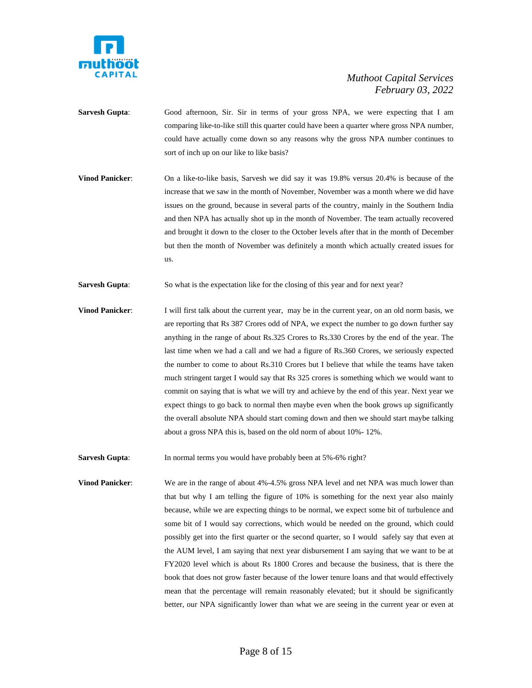

- **Sarvesh Gupta:** Good afternoon, Sir. Sir in terms of your gross NPA, we were expecting that I am comparing like-to-like still this quarter could have been a quarter where gross NPA number, could have actually come down so any reasons why the gross NPA number continues to sort of inch up on our like to like basis?
- **Vinod Panicker:** On a like-to-like basis, Sarvesh we did say it was 19.8% versus 20.4% is because of the increase that we saw in the month of November, November was a month where we did have issues on the ground, because in several parts of the country, mainly in the Southern India and then NPA has actually shot up in the month of November. The team actually recovered and brought it down to the closer to the October levels after that in the month of December but then the month of November was definitely a month which actually created issues for us.
- **Sarvesh Gupta**: So what is the expectation like for the closing of this year and for next year?
- **Vinod Panicker**: I will first talk about the current year, may be in the current year, on an old norm basis, we are reporting that Rs 387 Crores odd of NPA, we expect the number to go down further say anything in the range of about Rs.325 Crores to Rs.330 Crores by the end of the year. The last time when we had a call and we had a figure of Rs.360 Crores, we seriously expected the number to come to about Rs.310 Crores but I believe that while the teams have taken much stringent target I would say that Rs 325 crores is something which we would want to commit on saying that is what we will try and achieve by the end of this year. Next year we expect things to go back to normal then maybe even when the book grows up significantly the overall absolute NPA should start coming down and then we should start maybe talking about a gross NPA this is, based on the old norm of about 10%- 12%.

Sarvesh Gupta: In normal terms you would have probably been at 5%-6% right?

**Vinod Panicker:** We are in the range of about 4%-4.5% gross NPA level and net NPA was much lower than that but why I am telling the figure of 10% is something for the next year also mainly because, while we are expecting things to be normal, we expect some bit of turbulence and some bit of I would say corrections, which would be needed on the ground, which could possibly get into the first quarter or the second quarter, so I would safely say that even at the AUM level, I am saying that next year disbursement I am saying that we want to be at FY2020 level which is about Rs 1800 Crores and because the business, that is there the book that does not grow faster because of the lower tenure loans and that would effectively mean that the percentage will remain reasonably elevated; but it should be significantly better, our NPA significantly lower than what we are seeing in the current year or even at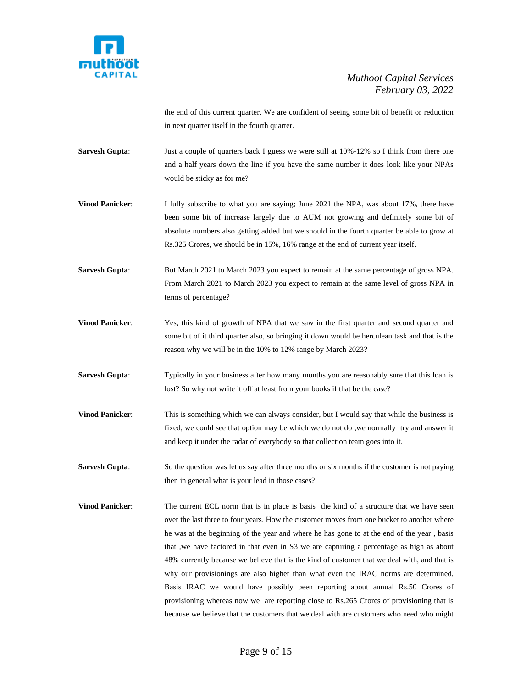

the end of this current quarter. We are confident of seeing some bit of benefit or reduction in next quarter itself in the fourth quarter.

- **Sarvesh Gupta**: Just a couple of quarters back I guess we were still at 10%-12% so I think from there one and a half years down the line if you have the same number it does look like your NPAs would be sticky as for me?
- **Vinod Panicker:** I fully subscribe to what you are saying; June 2021 the NPA, was about 17%, there have been some bit of increase largely due to AUM not growing and definitely some bit of absolute numbers also getting added but we should in the fourth quarter be able to grow at Rs.325 Crores, we should be in 15%, 16% range at the end of current year itself.
- **Sarvesh Gupta:** But March 2021 to March 2023 you expect to remain at the same percentage of gross NPA. From March 2021 to March 2023 you expect to remain at the same level of gross NPA in terms of percentage?
- **Vinod Panicker:** Yes, this kind of growth of NPA that we saw in the first quarter and second quarter and some bit of it third quarter also, so bringing it down would be herculean task and that is the reason why we will be in the 10% to 12% range by March 2023?
- **Sarvesh Gupta:** Typically in your business after how many months you are reasonably sure that this loan is lost? So why not write it off at least from your books if that be the case?
- **Vinod Panicker:** This is something which we can always consider, but I would say that while the business is fixed, we could see that option may be which we do not do ,we normally try and answer it and keep it under the radar of everybody so that collection team goes into it.
- **Sarvesh Gupta:** So the question was let us say after three months or six months if the customer is not paying then in general what is your lead in those cases?
- **Vinod Panicker:** The current ECL norm that is in place is basis the kind of a structure that we have seen over the last three to four years. How the customer moves from one bucket to another where he was at the beginning of the year and where he has gone to at the end of the year , basis that ,we have factored in that even in S3 we are capturing a percentage as high as about 48% currently because we believe that is the kind of customer that we deal with, and that is why our provisionings are also higher than what even the IRAC norms are determined. Basis IRAC we would have possibly been reporting about annual Rs.50 Crores of provisioning whereas now we are reporting close to Rs.265 Crores of provisioning that is because we believe that the customers that we deal with are customers who need who might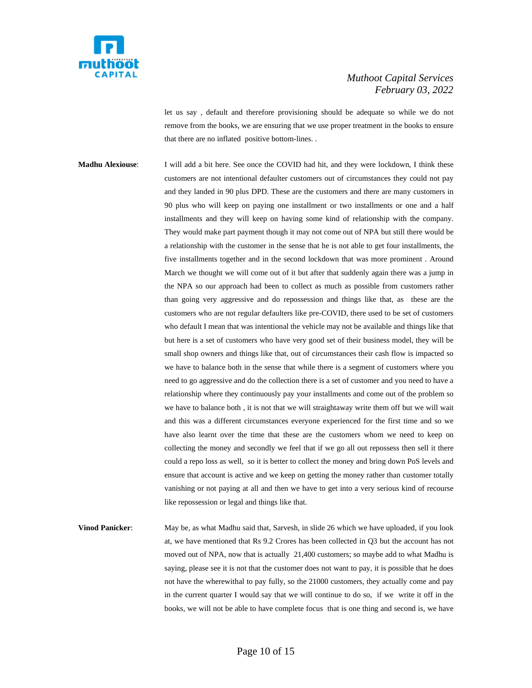

let us say , default and therefore provisioning should be adequate so while we do not remove from the books, we are ensuring that we use proper treatment in the books to ensure that there are no inflated positive bottom-lines. .

**Madhu Alexiouse**: I will add a bit here. See once the COVID had hit, and they were lockdown, I think these customers are not intentional defaulter customers out of circumstances they could not pay and they landed in 90 plus DPD. These are the customers and there are many customers in 90 plus who will keep on paying one installment or two installments or one and a half installments and they will keep on having some kind of relationship with the company. They would make part payment though it may not come out of NPA but still there would be a relationship with the customer in the sense that he is not able to get four installments, the five installments together and in the second lockdown that was more prominent . Around March we thought we will come out of it but after that suddenly again there was a jump in the NPA so our approach had been to collect as much as possible from customers rather than going very aggressive and do repossession and things like that, as these are the customers who are not regular defaulters like pre-COVID, there used to be set of customers who default I mean that was intentional the vehicle may not be available and things like that but here is a set of customers who have very good set of their business model, they will be small shop owners and things like that, out of circumstances their cash flow is impacted so we have to balance both in the sense that while there is a segment of customers where you need to go aggressive and do the collection there is a set of customer and you need to have a relationship where they continuously pay your installments and come out of the problem so we have to balance both , it is not that we will straightaway write them off but we will wait and this was a different circumstances everyone experienced for the first time and so we have also learnt over the time that these are the customers whom we need to keep on collecting the money and secondly we feel that if we go all out repossess then sell it there could a repo loss as well, so it is better to collect the money and bring down PoS levels and ensure that account is active and we keep on getting the money rather than customer totally vanishing or not paying at all and then we have to get into a very serious kind of recourse like repossession or legal and things like that.

**Vinod Panicker:** May be, as what Madhu said that, Sarvesh, in slide 26 which we have uploaded, if you look at, we have mentioned that Rs 9.2 Crores has been collected in Q3 but the account has not moved out of NPA, now that is actually 21,400 customers; so maybe add to what Madhu is saying, please see it is not that the customer does not want to pay, it is possible that he does not have the wherewithal to pay fully, so the 21000 customers, they actually come and pay in the current quarter I would say that we will continue to do so, if we write it off in the books, we will not be able to have complete focus that is one thing and second is, we have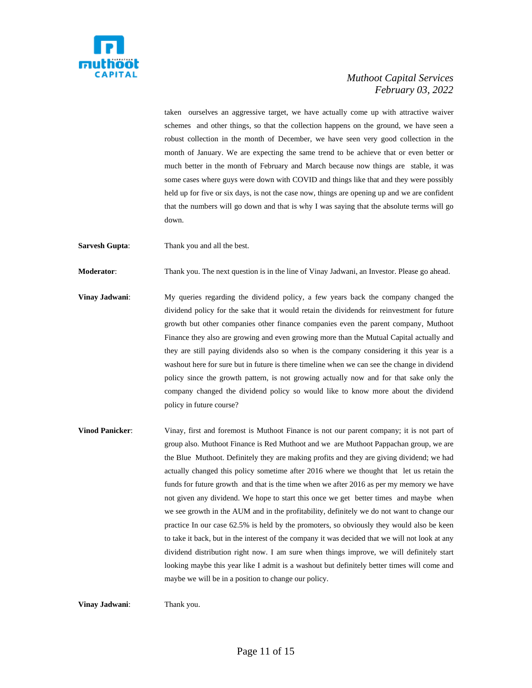

taken ourselves an aggressive target, we have actually come up with attractive waiver schemes and other things, so that the collection happens on the ground, we have seen a robust collection in the month of December, we have seen very good collection in the month of January. We are expecting the same trend to be achieve that or even better or much better in the month of February and March because now things are stable, it was some cases where guys were down with COVID and things like that and they were possibly held up for five or six days, is not the case now, things are opening up and we are confident that the numbers will go down and that is why I was saying that the absolute terms will go down.

**Sarvesh Gupta:** Thank you and all the best.

**Moderator**: Thank you. The next question is in the line of Vinay Jadwani, an Investor. Please go ahead.

- **Vinay Jadwani:** My queries regarding the dividend policy, a few years back the company changed the dividend policy for the sake that it would retain the dividends for reinvestment for future growth but other companies other finance companies even the parent company, Muthoot Finance they also are growing and even growing more than the Mutual Capital actually and they are still paying dividends also so when is the company considering it this year is a washout here for sure but in future is there timeline when we can see the change in dividend policy since the growth pattern, is not growing actually now and for that sake only the company changed the dividend policy so would like to know more about the dividend policy in future course?
- **Vinod Panicker**: Vinay, first and foremost is Muthoot Finance is not our parent company; it is not part of group also. Muthoot Finance is Red Muthoot and we are Muthoot Pappachan group, we are the Blue Muthoot. Definitely they are making profits and they are giving dividend; we had actually changed this policy sometime after 2016 where we thought that let us retain the funds for future growth and that is the time when we after 2016 as per my memory we have not given any dividend. We hope to start this once we get better times and maybe when we see growth in the AUM and in the profitability, definitely we do not want to change our practice In our case 62.5% is held by the promoters, so obviously they would also be keen to take it back, but in the interest of the company it was decided that we will not look at any dividend distribution right now. I am sure when things improve, we will definitely start looking maybe this year like I admit is a washout but definitely better times will come and maybe we will be in a position to change our policy.

**Vinay Jadwani:** Thank you.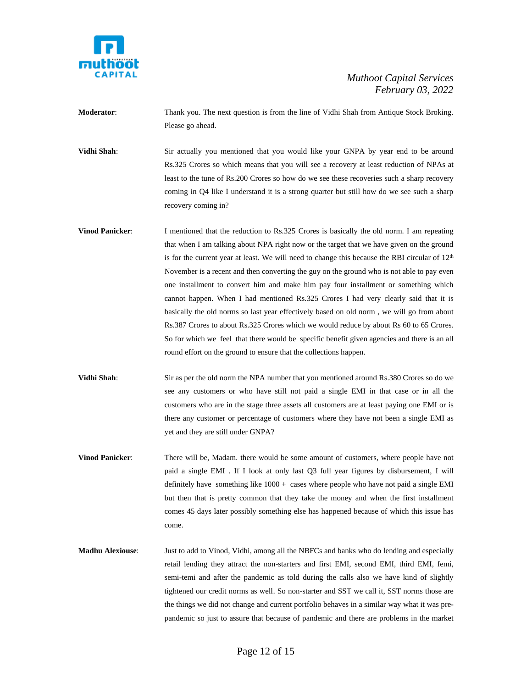

**Moderator**: Thank you. The next question is from the line of Vidhi Shah from Antique Stock Broking. Please go ahead.

**Vidhi Shah**: Sir actually you mentioned that you would like your GNPA by year end to be around Rs.325 Crores so which means that you will see a recovery at least reduction of NPAs at least to the tune of Rs.200 Crores so how do we see these recoveries such a sharp recovery coming in Q4 like I understand it is a strong quarter but still how do we see such a sharp recovery coming in?

- **Vinod Panicker:** I mentioned that the reduction to Rs.325 Crores is basically the old norm. I am repeating that when I am talking about NPA right now or the target that we have given on the ground is for the current year at least. We will need to change this because the RBI circular of  $12<sup>th</sup>$ November is a recent and then converting the guy on the ground who is not able to pay even one installment to convert him and make him pay four installment or something which cannot happen. When I had mentioned Rs.325 Crores I had very clearly said that it is basically the old norms so last year effectively based on old norm , we will go from about Rs.387 Crores to about Rs.325 Crores which we would reduce by about Rs 60 to 65 Crores. So for which we feel that there would be specific benefit given agencies and there is an all round effort on the ground to ensure that the collections happen.
- **Vidhi Shah**: Sir as per the old norm the NPA number that you mentioned around Rs.380 Crores so do we see any customers or who have still not paid a single EMI in that case or in all the customers who are in the stage three assets all customers are at least paying one EMI or is there any customer or percentage of customers where they have not been a single EMI as yet and they are still under GNPA?
- **Vinod Panicker**: There will be, Madam. there would be some amount of customers, where people have not paid a single EMI . If I look at only last Q3 full year figures by disbursement, I will definitely have something like  $1000 + \text{cases}$  where people who have not paid a single EMI but then that is pretty common that they take the money and when the first installment comes 45 days later possibly something else has happened because of which this issue has come.
- **Madhu Alexiouse**: Just to add to Vinod, Vidhi, among all the NBFCs and banks who do lending and especially retail lending they attract the non-starters and first EMI, second EMI, third EMI, femi, semi-temi and after the pandemic as told during the calls also we have kind of slightly tightened our credit norms as well. So non-starter and SST we call it, SST norms those are the things we did not change and current portfolio behaves in a similar way what it was prepandemic so just to assure that because of pandemic and there are problems in the market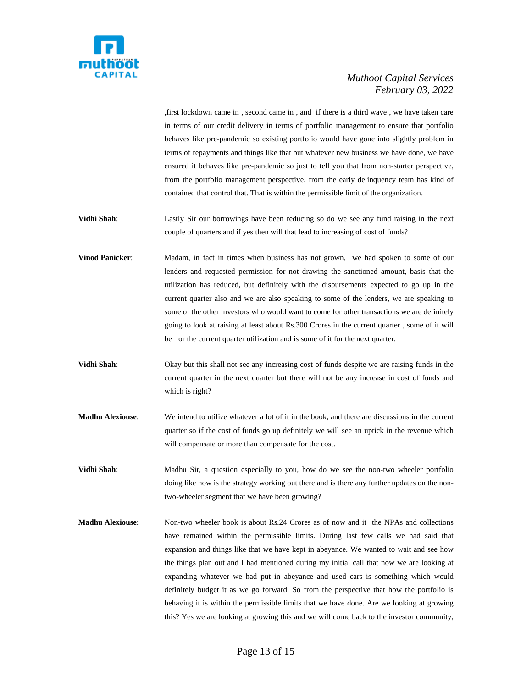

,first lockdown came in , second came in , and if there is a third wave , we have taken care in terms of our credit delivery in terms of portfolio management to ensure that portfolio behaves like pre-pandemic so existing portfolio would have gone into slightly problem in terms of repayments and things like that but whatever new business we have done, we have ensured it behaves like pre-pandemic so just to tell you that from non-starter perspective, from the portfolio management perspective, from the early delinquency team has kind of contained that control that. That is within the permissible limit of the organization.

- **Vidhi Shah**: Lastly Sir our borrowings have been reducing so do we see any fund raising in the next couple of quarters and if yes then will that lead to increasing of cost of funds?
- **Vinod Panicker**: Madam, in fact in times when business has not grown, we had spoken to some of our lenders and requested permission for not drawing the sanctioned amount, basis that the utilization has reduced, but definitely with the disbursements expected to go up in the current quarter also and we are also speaking to some of the lenders, we are speaking to some of the other investors who would want to come for other transactions we are definitely going to look at raising at least about Rs.300 Crores in the current quarter , some of it will be for the current quarter utilization and is some of it for the next quarter.
- **Vidhi Shah**: Okay but this shall not see any increasing cost of funds despite we are raising funds in the current quarter in the next quarter but there will not be any increase in cost of funds and which is right?
- **Madhu Alexiouse**: We intend to utilize whatever a lot of it in the book, and there are discussions in the current quarter so if the cost of funds go up definitely we will see an uptick in the revenue which will compensate or more than compensate for the cost.
- **Vidhi Shah**: Madhu Sir, a question especially to you, how do we see the non-two wheeler portfolio doing like how is the strategy working out there and is there any further updates on the nontwo-wheeler segment that we have been growing?
- **Madhu Alexiouse**: Non-two wheeler book is about Rs.24 Crores as of now and it the NPAs and collections have remained within the permissible limits. During last few calls we had said that expansion and things like that we have kept in abeyance. We wanted to wait and see how the things plan out and I had mentioned during my initial call that now we are looking at expanding whatever we had put in abeyance and used cars is something which would definitely budget it as we go forward. So from the perspective that how the portfolio is behaving it is within the permissible limits that we have done. Are we looking at growing this? Yes we are looking at growing this and we will come back to the investor community,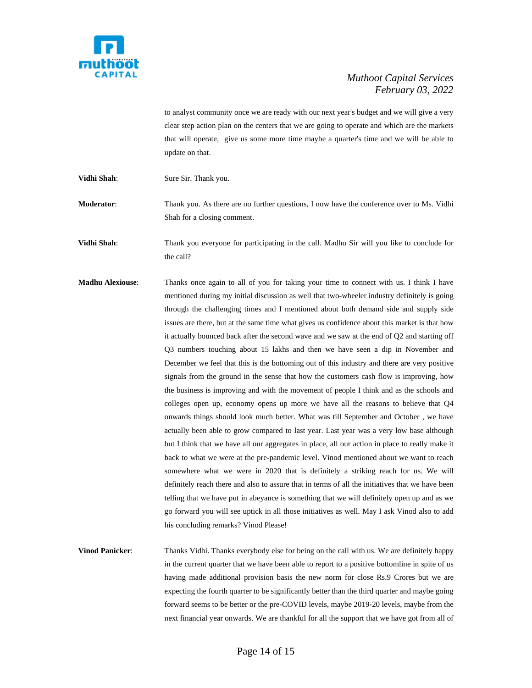

to analyst community once we are ready with our next year's budget and we will give a very clear step action plan on the centers that we are going to operate and which are the markets that will operate, give us some more time maybe a quarter's time and we will be able to update on that.

**Vidhi Shah:** Sure Sir. Thank you.

**Moderator:** Thank you. As there are no further questions, I now have the conference over to Ms. Vidhi Shah for a closing comment.

**Vidhi Shah**: Thank you everyone for participating in the call. Madhu Sir will you like to conclude for the call?

**Madhu Alexiouse**: Thanks once again to all of you for taking your time to connect with us. I think I have mentioned during my initial discussion as well that two-wheeler industry definitely is going through the challenging times and I mentioned about both demand side and supply side issues are there, but at the same time what gives us confidence about this market is that how it actually bounced back after the second wave and we saw at the end of Q2 and starting off Q3 numbers touching about 15 lakhs and then we have seen a dip in November and December we feel that this is the bottoming out of this industry and there are very positive signals from the ground in the sense that how the customers cash flow is improving, how the business is improving and with the movement of people I think and as the schools and colleges open up, economy opens up more we have all the reasons to believe that Q4 onwards things should look much better. What was till September and October , we have actually been able to grow compared to last year. Last year was a very low base although but I think that we have all our aggregates in place, all our action in place to really make it back to what we were at the pre-pandemic level. Vinod mentioned about we want to reach somewhere what we were in 2020 that is definitely a striking reach for us. We will definitely reach there and also to assure that in terms of all the initiatives that we have been telling that we have put in abeyance is something that we will definitely open up and as we go forward you will see uptick in all those initiatives as well. May I ask Vinod also to add his concluding remarks? Vinod Please!

**Vinod Panicker:** Thanks Vidhi. Thanks everybody else for being on the call with us. We are definitely happy in the current quarter that we have been able to report to a positive bottomline in spite of us having made additional provision basis the new norm for close Rs.9 Crores but we are expecting the fourth quarter to be significantly better than the third quarter and maybe going forward seems to be better or the pre-COVID levels, maybe 2019-20 levels, maybe from the next financial year onwards. We are thankful for all the support that we have got from all of